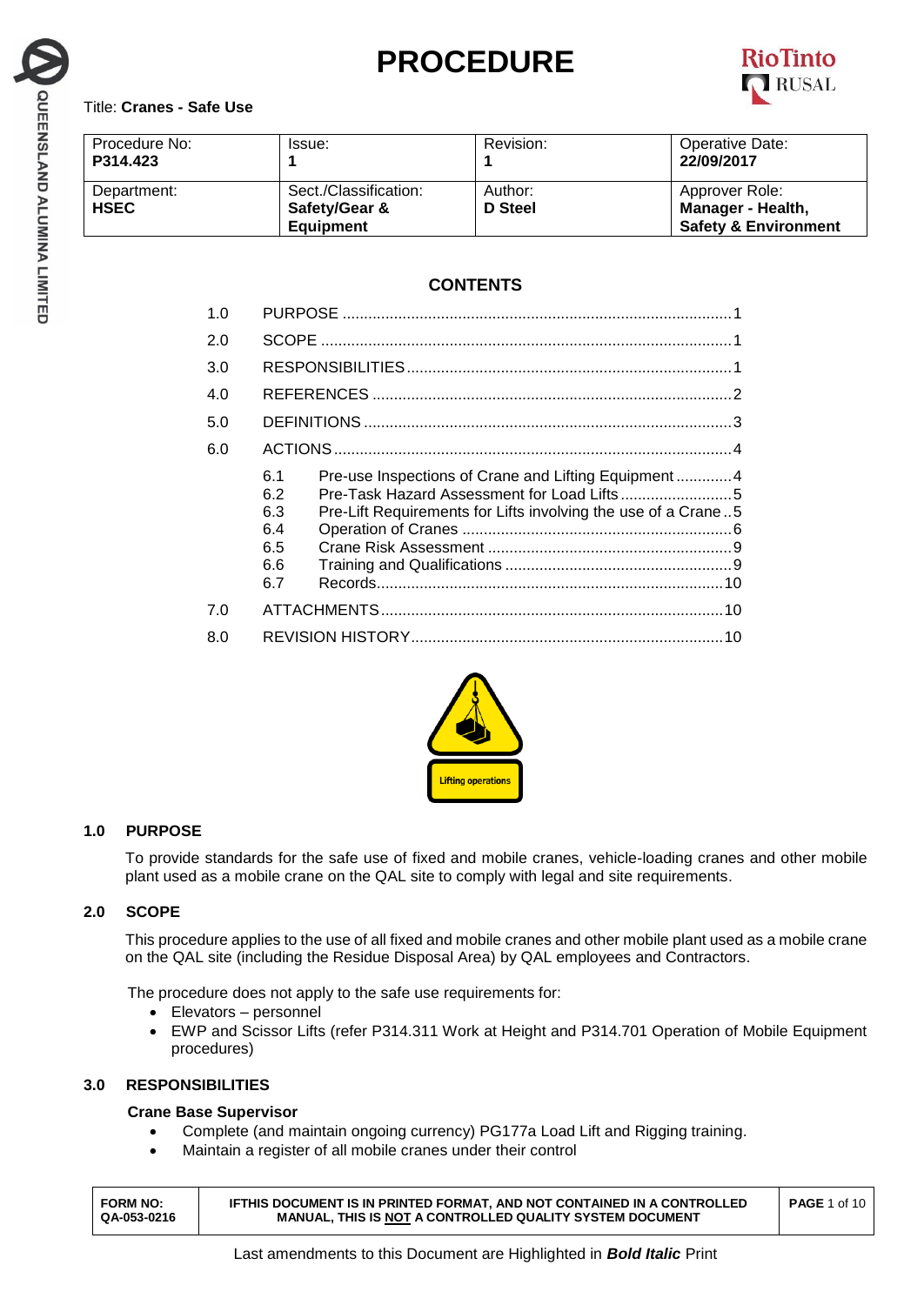# **PROCEDURE**



## Title: **Cranes - Safe Use**

| Procedure No:<br>P314.423  | Issue:                                                     | Revision:          | Operative Date:<br>22/09/2017                                          |  |
|----------------------------|------------------------------------------------------------|--------------------|------------------------------------------------------------------------|--|
| Department:<br><b>HSEC</b> | Sect./Classification:<br>Safety/Gear &<br><b>Equipment</b> | Author:<br>D Steel | Approver Role:<br>Manager - Health,<br><b>Safety &amp; Environment</b> |  |

# **CONTENTS**

| 1.0 |                                                                                                                                                                       |  |  |
|-----|-----------------------------------------------------------------------------------------------------------------------------------------------------------------------|--|--|
| 2.0 |                                                                                                                                                                       |  |  |
| 3.0 |                                                                                                                                                                       |  |  |
| 4.0 |                                                                                                                                                                       |  |  |
| 5.0 |                                                                                                                                                                       |  |  |
| 6.0 |                                                                                                                                                                       |  |  |
|     | Pre-use Inspections of Crane and Lifting Equipment4<br>6.1<br>6.2<br>Pre-Lift Requirements for Lifts involving the use of a Crane5<br>6.3<br>6.4<br>6.5<br>6.6<br>6.7 |  |  |
| 7.0 |                                                                                                                                                                       |  |  |
| 8.0 |                                                                                                                                                                       |  |  |



# **1.0 PURPOSE**

To provide standards for the safe use of fixed and mobile cranes, vehicle-loading cranes and other mobile plant used as a mobile crane on the QAL site to comply with legal and site requirements.

## **2.0 SCOPE**

This procedure applies to the use of all fixed and mobile cranes and other mobile plant used as a mobile crane on the QAL site (including the Residue Disposal Area) by QAL employees and Contractors.

The procedure does not apply to the safe use requirements for:

- Elevators personnel
- EWP and Scissor Lifts (refer P314.311 Work at Height and P314.701 Operation of Mobile Equipment procedures)

## **3.0 RESPONSIBILITIES**

## **Crane Base Supervisor**

- Complete (and maintain ongoing currency) PG177a Load Lift and Rigging training.
- Maintain a register of all mobile cranes under their control

| <b>FORM NO:</b><br>QA-053-0216 | <b>IFTHIS DOCUMENT IS IN PRINTED FORMAT. AND NOT CONTAINED IN A CONTROLLED</b><br><b>MANUAL, THIS IS NOT A CONTROLLED QUALITY SYSTEM DOCUMENT</b> | <b>PAGE 1 of 10  </b> |
|--------------------------------|---------------------------------------------------------------------------------------------------------------------------------------------------|-----------------------|
|--------------------------------|---------------------------------------------------------------------------------------------------------------------------------------------------|-----------------------|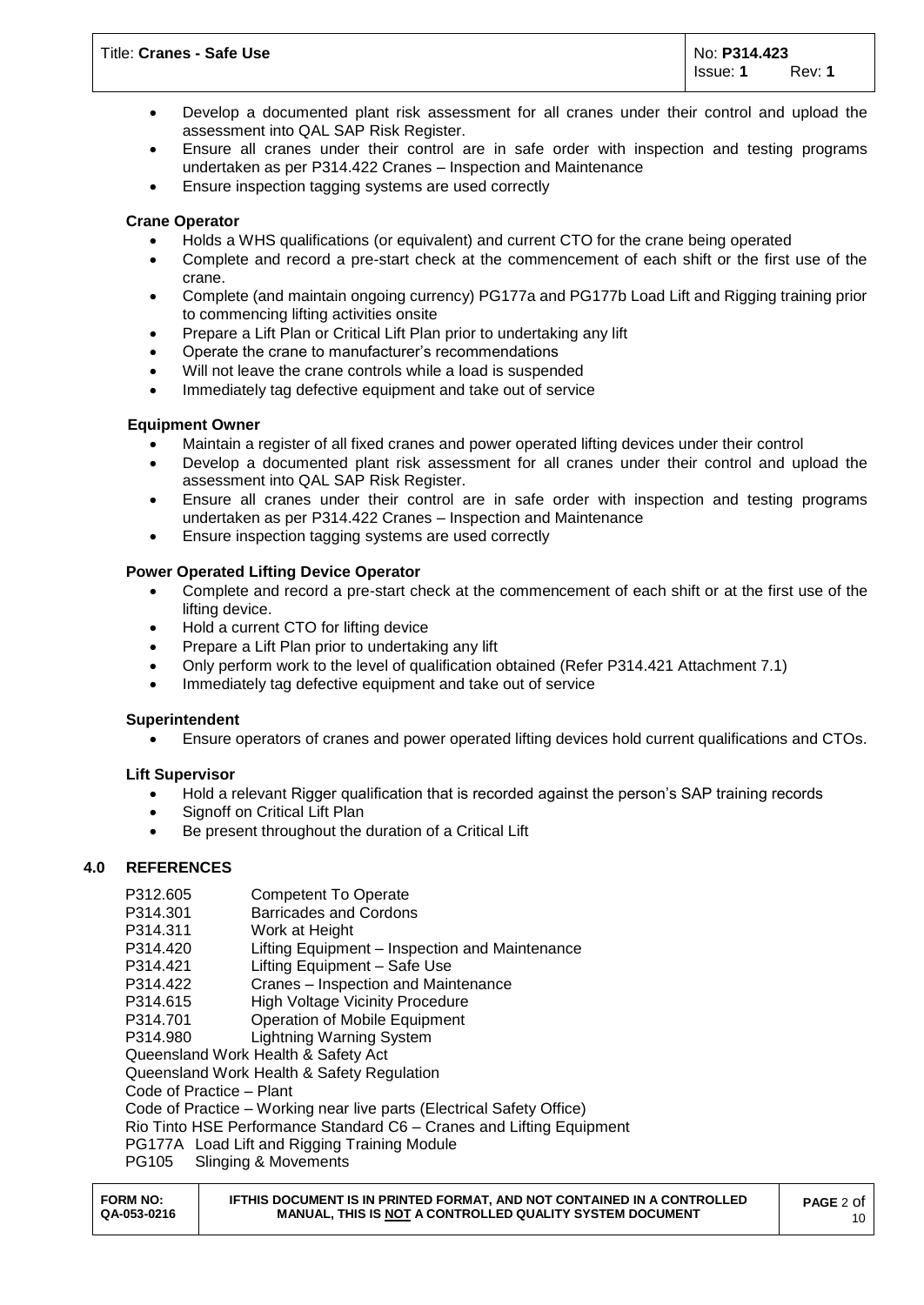- Develop a documented plant risk assessment for all cranes under their control and upload the assessment into QAL SAP Risk Register.
- Ensure all cranes under their control are in safe order with inspection and testing programs undertaken as per P314.422 Cranes – Inspection and Maintenance
- Ensure inspection tagging systems are used correctly

## **Crane Operator**

- Holds a WHS qualifications (or equivalent) and current CTO for the crane being operated
- Complete and record a pre-start check at the commencement of each shift or the first use of the crane.
- Complete (and maintain ongoing currency) PG177a and PG177b Load Lift and Rigging training prior to commencing lifting activities onsite
- Prepare a Lift Plan or Critical Lift Plan prior to undertaking any lift
- Operate the crane to manufacturer's recommendations
- Will not leave the crane controls while a load is suspended
- Immediately tag defective equipment and take out of service

## **Equipment Owner**

- Maintain a register of all fixed cranes and power operated lifting devices under their control
- Develop a documented plant risk assessment for all cranes under their control and upload the assessment into QAL SAP Risk Register.
- Ensure all cranes under their control are in safe order with inspection and testing programs undertaken as per P314.422 Cranes – Inspection and Maintenance
- Ensure inspection tagging systems are used correctly

## **Power Operated Lifting Device Operator**

- Complete and record a pre-start check at the commencement of each shift or at the first use of the lifting device.
- Hold a current CTO for lifting device
- Prepare a Lift Plan prior to undertaking any lift
- Only perform work to the level of qualification obtained (Refer P314.421 Attachment 7.1)
- Immediately tag defective equipment and take out of service

## **Superintendent**

Ensure operators of cranes and power operated lifting devices hold current qualifications and CTOs.

## **Lift Supervisor**

- Hold a relevant Rigger qualification that is recorded against the person's SAP training records
- Signoff on Critical Lift Plan
- Be present throughout the duration of a Critical Lift

## **4.0 REFERENCES**

- P312.605 Competent To Operate
- P314.301 Barricades and Cordons
- P314.311 Work at Height
- P314.420 Lifting Equipment Inspection and Maintenance
- P314.421 Lifting Equipment Safe Use
- P314.422 Cranes Inspection and Maintenance
- P314.615 High Voltage Vicinity Procedure
- P314.701 Operation of Mobile Equipment
- P314.980 Lightning Warning System
- Queensland Work Health & Safety Act

Queensland Work Health & Safety Regulation

Code of Practice – Plant

Code of Practice – Working near live parts (Electrical Safety Office)

Rio Tinto HSE Performance Standard C6 – Cranes and Lifting Equipment

- PG177A Load Lift and Rigging Training Module
- PG105 Slinging & Movements

| <b>FORM NO:</b><br><b>IFTHIS DOCUMENT IS IN PRINTED FORMAT. AND NOT CONTAINED IN A CONTROLLED</b><br><b>PAGE 2 Of</b><br>QA-053-0216<br><b>MANUAL, THIS IS NOT A CONTROLLED QUALITY SYSTEM DOCUMENT</b> | 10 |
|---------------------------------------------------------------------------------------------------------------------------------------------------------------------------------------------------------|----|
|---------------------------------------------------------------------------------------------------------------------------------------------------------------------------------------------------------|----|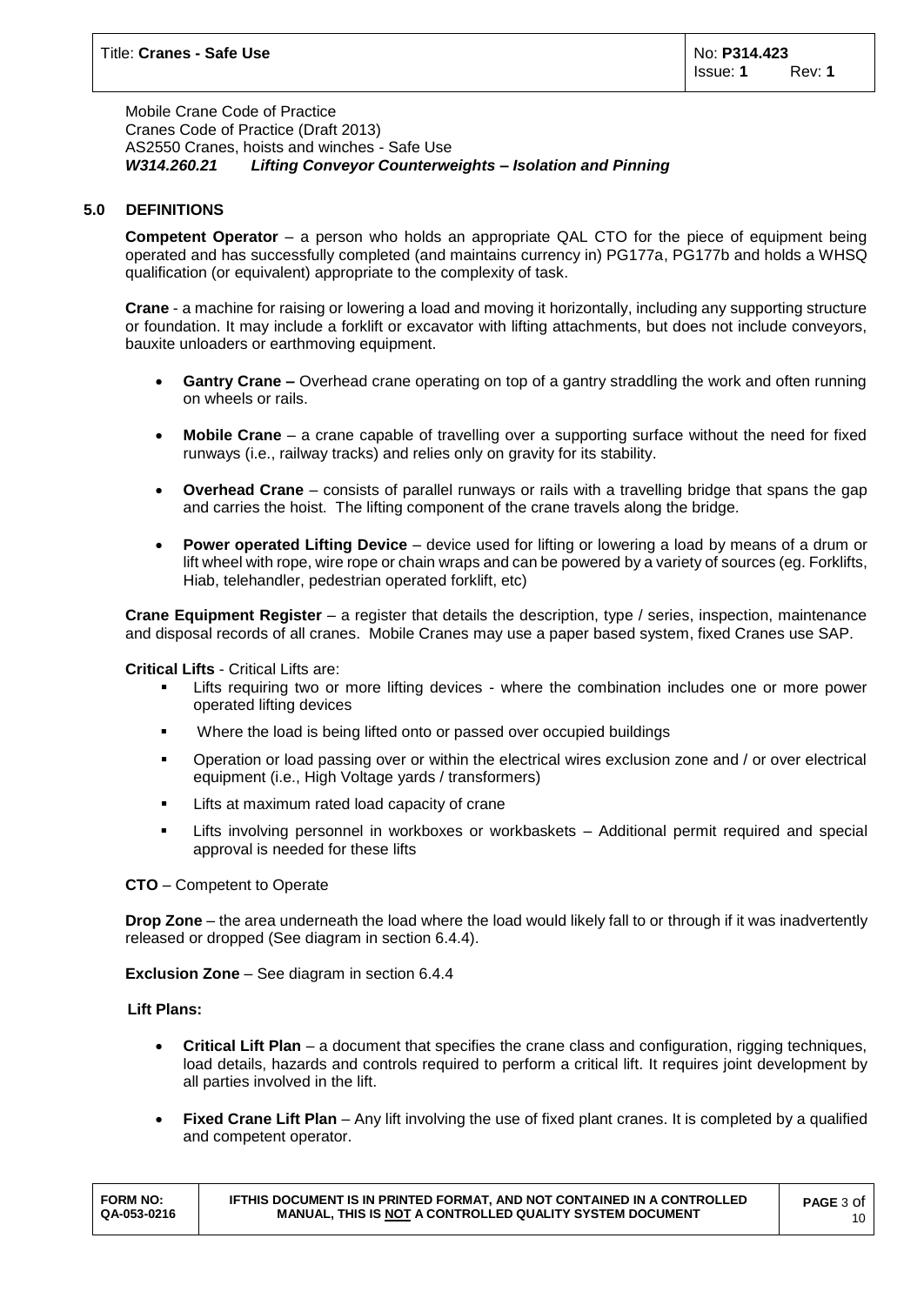Mobile Crane Code of Practice Cranes Code of Practice (Draft 2013) AS2550 Cranes, hoists and winches - Safe Use *W314.260.21 Lifting Conveyor Counterweights – Isolation and Pinning*

## **5.0 DEFINITIONS**

**Competent Operator** – a person who holds an appropriate QAL CTO for the piece of equipment being operated and has successfully completed (and maintains currency in) PG177a, PG177b and holds a WHSQ qualification (or equivalent) appropriate to the complexity of task.

**Crane** - a machine for raising or lowering a load and moving it horizontally, including any supporting structure or foundation. It may include a forklift or excavator with lifting attachments, but does not include conveyors, bauxite unloaders or earthmoving equipment.

- **Gantry Crane –** Overhead crane operating on top of a gantry straddling the work and often running on wheels or rails.
- **Mobile Crane** a crane capable of travelling over a supporting surface without the need for fixed runways (i.e., railway tracks) and relies only on gravity for its stability.
- **Overhead Crane**  consists of parallel runways or rails with a travelling bridge that spans the gap and carries the hoist. The lifting component of the crane travels along the bridge.
- **Power operated Lifting Device**  device used for lifting or lowering a load by means of a drum or lift wheel with rope, wire rope or chain wraps and can be powered by a variety of sources (eg. Forklifts, Hiab, telehandler, pedestrian operated forklift, etc)

**Crane Equipment Register** – a register that details the description, type / series, inspection, maintenance and disposal records of all cranes. Mobile Cranes may use a paper based system, fixed Cranes use SAP.

**Critical Lifts** - Critical Lifts are:

- Lifts requiring two or more lifting devices where the combination includes one or more power operated lifting devices
- **Where the load is being lifted onto or passed over occupied buildings**
- Operation or load passing over or within the electrical wires exclusion zone and / or over electrical equipment (i.e., High Voltage yards / transformers)
- **EXEC** Lifts at maximum rated load capacity of crane
- Lifts involving personnel in workboxes or workbaskets Additional permit required and special approval is needed for these lifts

**CTO** – Competent to Operate

**Drop Zone** – the area underneath the load where the load would likely fall to or through if it was inadvertently released or dropped (See diagram in section 6.4.4).

**Exclusion Zone** – See diagram in section 6.4.4

**Lift Plans:**

- **Critical Lift Plan**  a document that specifies the crane class and configuration, rigging techniques, load details, hazards and controls required to perform a critical lift. It requires joint development by all parties involved in the lift.
- **Fixed Crane Lift Plan** Any lift involving the use of fixed plant cranes. It is completed by a qualified and competent operator.

| <b>FORM NO:</b> | IFTHIS DOCUMENT IS IN PRINTED FORMAT, AND NOT CONTAINED IN A CONTROLLED | <b>PAGE</b> 3 Of |
|-----------------|-------------------------------------------------------------------------|------------------|
| QA-053-0216     | MANUAL. THIS IS NOT A CONTROLLED QUALITY SYSTEM DOCUMENT                | 10               |
|                 |                                                                         |                  |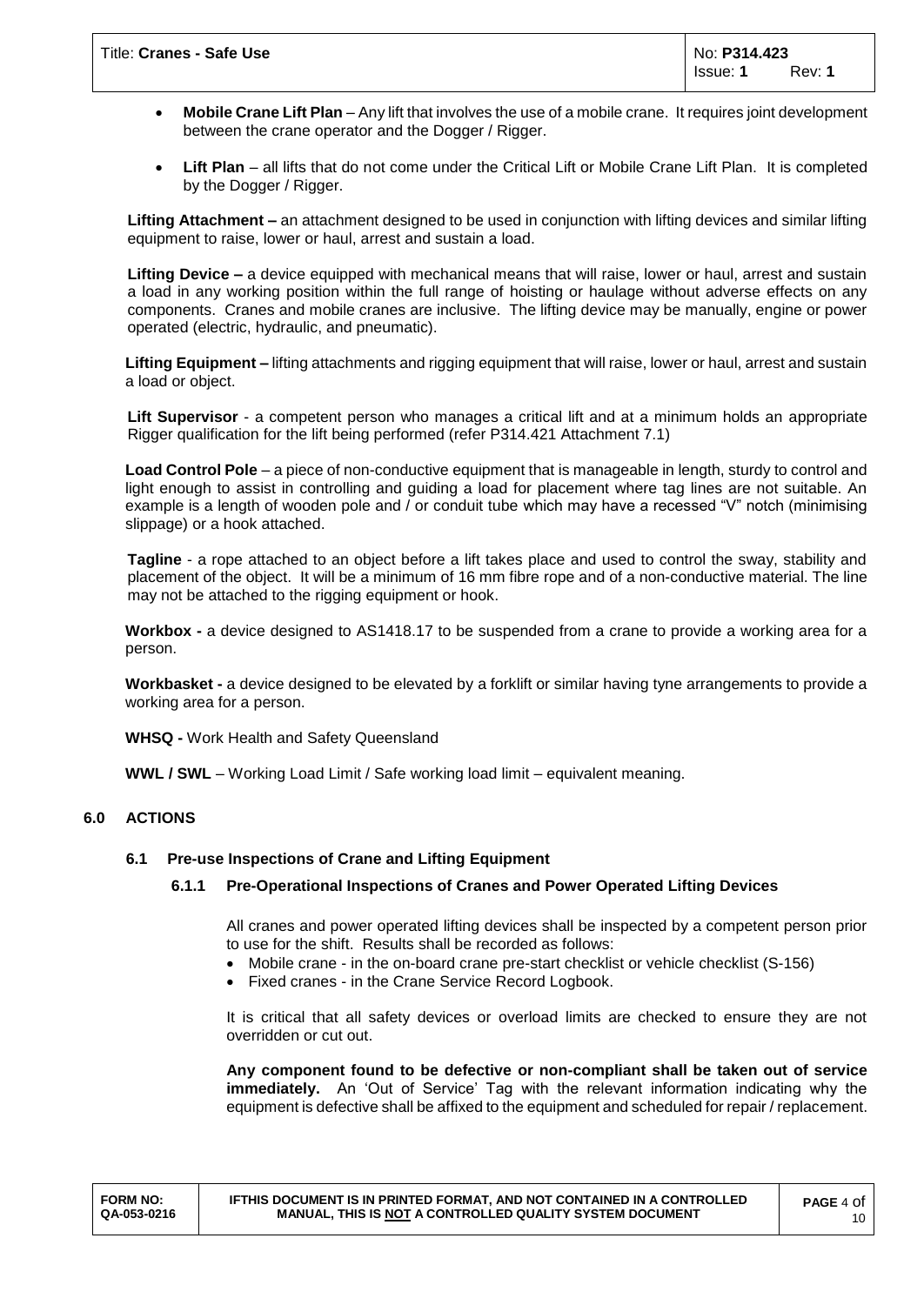- **Mobile Crane Lift Plan** Any lift that involves the use of a mobile crane. It requires joint development between the crane operator and the Dogger / Rigger.
- **Lift Plan** all lifts that do not come under the Critical Lift or Mobile Crane Lift Plan. It is completed by the Dogger / Rigger.

**Lifting Attachment –** an attachment designed to be used in conjunction with lifting devices and similar lifting equipment to raise, lower or haul, arrest and sustain a load.

**Lifting Device –** a device equipped with mechanical means that will raise, lower or haul, arrest and sustain a load in any working position within the full range of hoisting or haulage without adverse effects on any components. Cranes and mobile cranes are inclusive. The lifting device may be manually, engine or power operated (electric, hydraulic, and pneumatic).

**Lifting Equipment –** lifting attachments and rigging equipment that will raise, lower or haul, arrest and sustain a load or object.

**Lift Supervisor** - a competent person who manages a critical lift and at a minimum holds an appropriate Rigger qualification for the lift being performed (refer P314.421 Attachment 7.1)

**Load Control Pole** – a piece of non-conductive equipment that is manageable in length, sturdy to control and light enough to assist in controlling and guiding a load for placement where tag lines are not suitable. An example is a length of wooden pole and / or conduit tube which may have a recessed "V" notch (minimising slippage) or a hook attached.

**Tagline** - a rope attached to an object before a lift takes place and used to control the sway, stability and placement of the object. It will be a minimum of 16 mm fibre rope and of a non-conductive material. The line may not be attached to the rigging equipment or hook.

**Workbox -** a device designed to AS1418.17 to be suspended from a crane to provide a working area for a person.

**Workbasket -** a device designed to be elevated by a forklift or similar having tyne arrangements to provide a working area for a person.

**WHSQ -** Work Health and Safety Queensland

**WWL / SWL** – Working Load Limit / Safe working load limit – equivalent meaning.

## **6.0 ACTIONS**

## **6.1 Pre-use Inspections of Crane and Lifting Equipment**

## **6.1.1 Pre-Operational Inspections of Cranes and Power Operated Lifting Devices**

All cranes and power operated lifting devices shall be inspected by a competent person prior to use for the shift. Results shall be recorded as follows:

- Mobile crane in the on-board crane pre-start checklist or vehicle checklist (S-156)
- Fixed cranes in the Crane Service Record Logbook.

It is critical that all safety devices or overload limits are checked to ensure they are not overridden or cut out.

**Any component found to be defective or non-compliant shall be taken out of service immediately.** An 'Out of Service' Tag with the relevant information indicating why the equipment is defective shall be affixed to the equipment and scheduled for repair / replacement.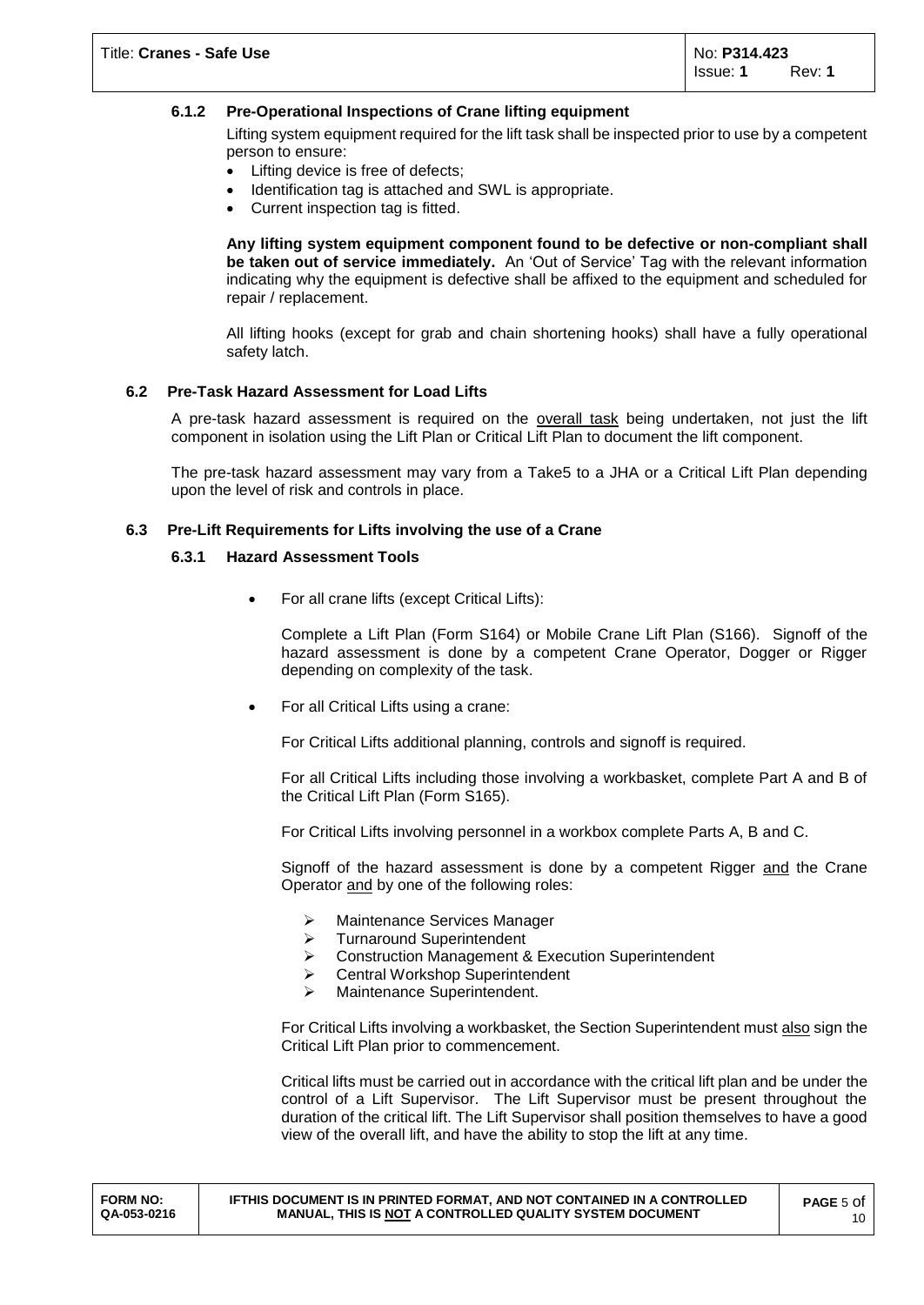## **6.1.2 Pre-Operational Inspections of Crane lifting equipment**

Lifting system equipment required for the lift task shall be inspected prior to use by a competent person to ensure:

- Lifting device is free of defects;
- Identification tag is attached and SWL is appropriate.
- Current inspection tag is fitted.

**Any lifting system equipment component found to be defective or non-compliant shall be taken out of service immediately.** An 'Out of Service' Tag with the relevant information indicating why the equipment is defective shall be affixed to the equipment and scheduled for repair / replacement.

All lifting hooks (except for grab and chain shortening hooks) shall have a fully operational safety latch.

#### **6.2 Pre-Task Hazard Assessment for Load Lifts**

A pre-task hazard assessment is required on the overall task being undertaken, not just the lift component in isolation using the Lift Plan or Critical Lift Plan to document the lift component.

The pre-task hazard assessment may vary from a Take5 to a JHA or a Critical Lift Plan depending upon the level of risk and controls in place.

#### **6.3 Pre-Lift Requirements for Lifts involving the use of a Crane**

#### **6.3.1 Hazard Assessment Tools**

For all crane lifts (except Critical Lifts):

Complete a Lift Plan (Form S164) or Mobile Crane Lift Plan (S166). Signoff of the hazard assessment is done by a competent Crane Operator, Dogger or Rigger depending on complexity of the task.

• For all Critical Lifts using a crane:

For Critical Lifts additional planning, controls and signoff is required.

For all Critical Lifts including those involving a workbasket, complete Part A and B of the Critical Lift Plan (Form S165).

For Critical Lifts involving personnel in a workbox complete Parts A, B and C.

Signoff of the hazard assessment is done by a competent Rigger and the Crane Operator and by one of the following roles:

- > Maintenance Services Manager
- > Turnaround Superintendent
- ▶ Construction Management & Execution Superintendent
- Central Workshop Superintendent
- > Maintenance Superintendent.

For Critical Lifts involving a workbasket, the Section Superintendent must also sign the Critical Lift Plan prior to commencement.

Critical lifts must be carried out in accordance with the critical lift plan and be under the control of a Lift Supervisor. The Lift Supervisor must be present throughout the duration of the critical lift. The Lift Supervisor shall position themselves to have a good view of the overall lift, and have the ability to stop the lift at any time.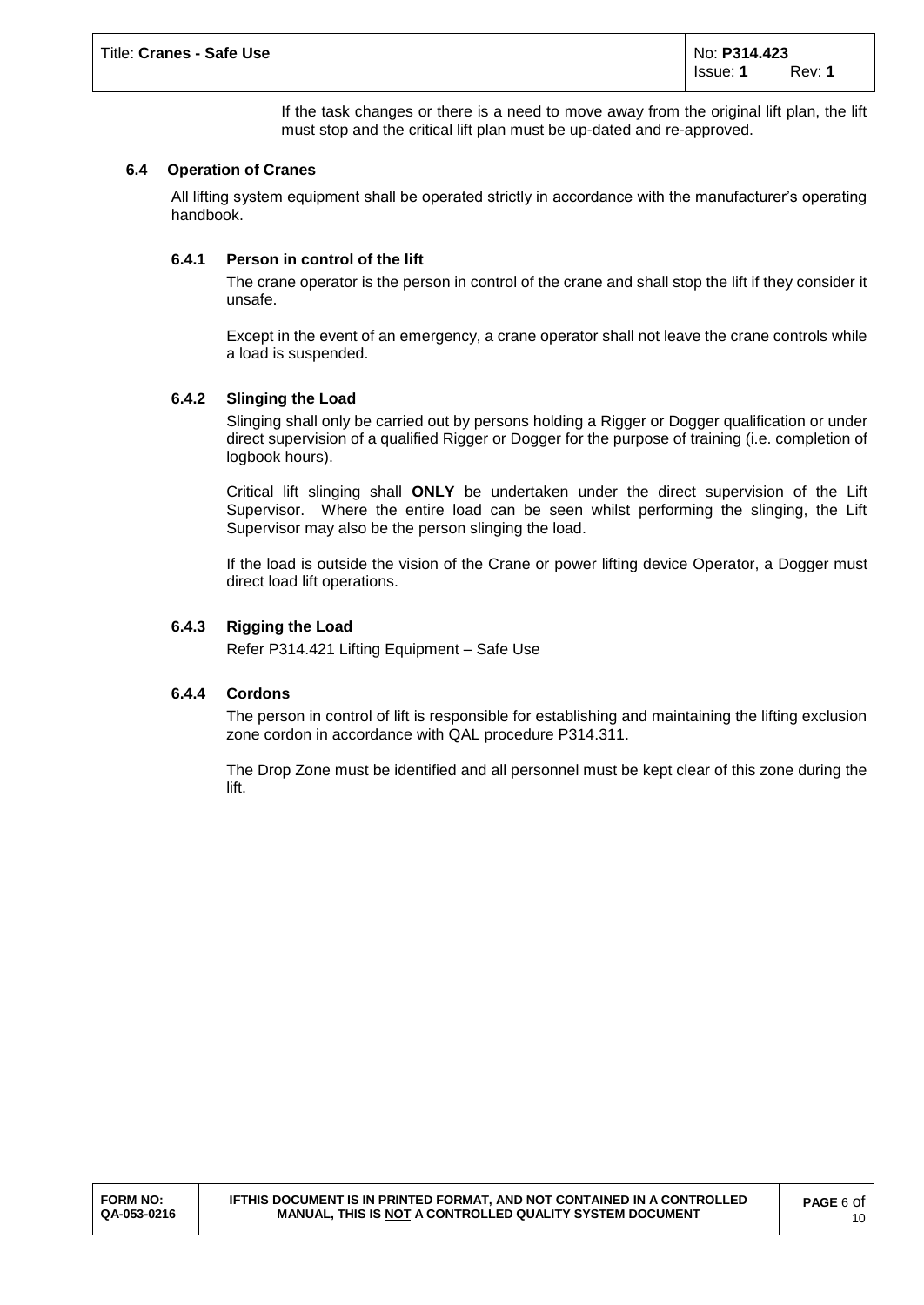If the task changes or there is a need to move away from the original lift plan, the lift must stop and the critical lift plan must be up-dated and re-approved.

## **6.4 Operation of Cranes**

All lifting system equipment shall be operated strictly in accordance with the manufacturer's operating handbook.

## **6.4.1 Person in control of the lift**

The crane operator is the person in control of the crane and shall stop the lift if they consider it unsafe.

Except in the event of an emergency, a crane operator shall not leave the crane controls while a load is suspended.

## **6.4.2 Slinging the Load**

Slinging shall only be carried out by persons holding a Rigger or Dogger qualification or under direct supervision of a qualified Rigger or Dogger for the purpose of training (i.e. completion of logbook hours).

Critical lift slinging shall **ONLY** be undertaken under the direct supervision of the Lift Supervisor. Where the entire load can be seen whilst performing the slinging, the Lift Supervisor may also be the person slinging the load.

If the load is outside the vision of the Crane or power lifting device Operator, a Dogger must direct load lift operations.

## **6.4.3 Rigging the Load**

Refer P314.421 Lifting Equipment – Safe Use

## **6.4.4 Cordons**

The person in control of lift is responsible for establishing and maintaining the lifting exclusion zone cordon in accordance with QAL procedure P314.311.

The Drop Zone must be identified and all personnel must be kept clear of this zone during the lift.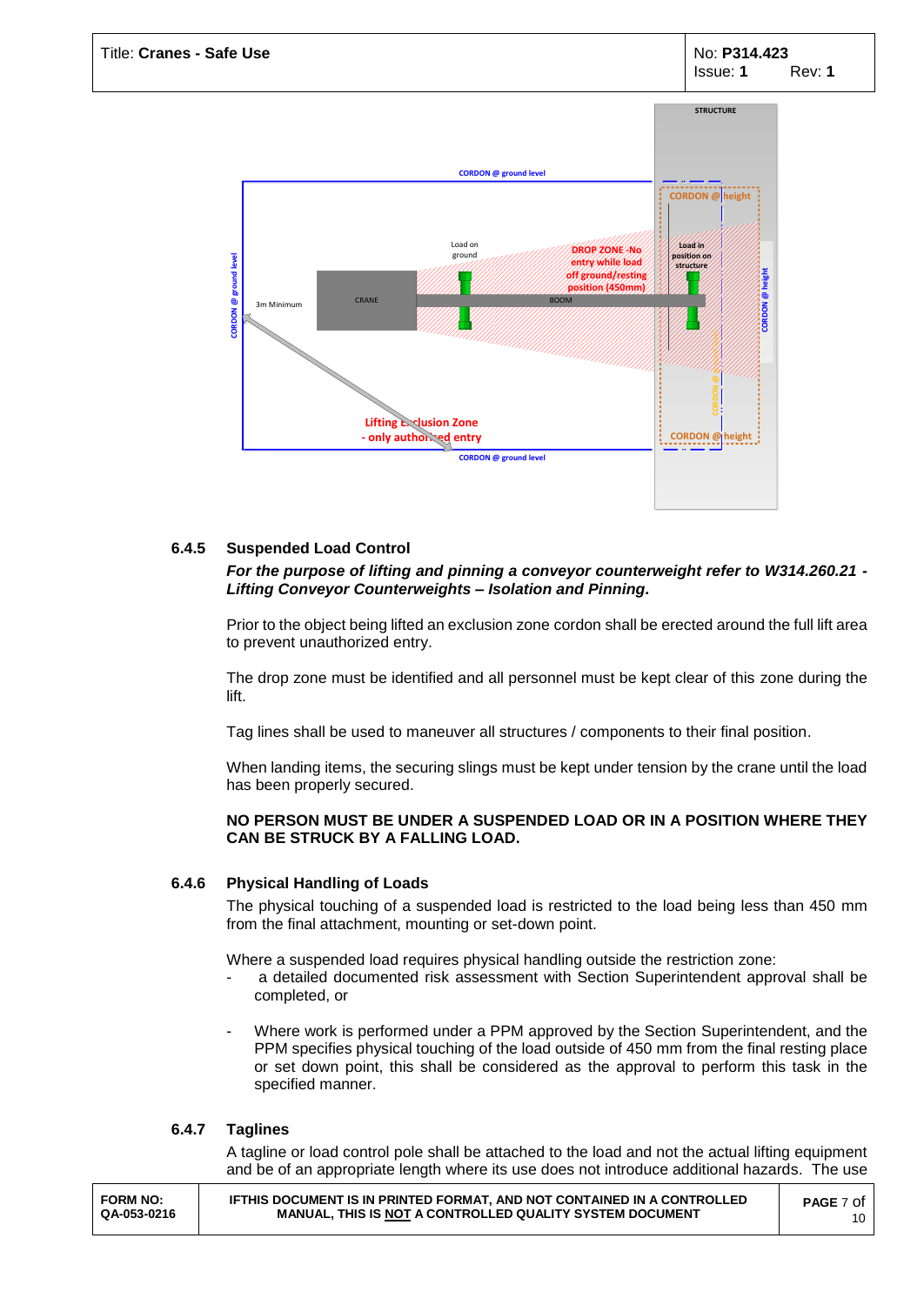

## **6.4.5 Suspended Load Control**

## *For the purpose of lifting and pinning a conveyor counterweight refer to W314.260.21 - Lifting Conveyor Counterweights – Isolation and Pinning.*

Prior to the object being lifted an exclusion zone cordon shall be erected around the full lift area to prevent unauthorized entry.

The drop zone must be identified and all personnel must be kept clear of this zone during the lift.

Tag lines shall be used to maneuver all structures / components to their final position.

When landing items, the securing slings must be kept under tension by the crane until the load has been properly secured.

## **NO PERSON MUST BE UNDER A SUSPENDED LOAD OR IN A POSITION WHERE THEY CAN BE STRUCK BY A FALLING LOAD.**

## **6.4.6 Physical Handling of Loads**

The physical touching of a suspended load is restricted to the load being less than 450 mm from the final attachment, mounting or set-down point.

Where a suspended load requires physical handling outside the restriction zone:

- a detailed documented risk assessment with Section Superintendent approval shall be completed, or
- Where work is performed under a PPM approved by the Section Superintendent, and the PPM specifies physical touching of the load outside of 450 mm from the final resting place or set down point, this shall be considered as the approval to perform this task in the specified manner.

## **6.4.7 Taglines**

A tagline or load control pole shall be attached to the load and not the actual lifting equipment and be of an appropriate length where its use does not introduce additional hazards. The use

| <b>FORM NO:</b><br>QA-053-0216 | <b>IFTHIS DOCUMENT IS IN PRINTED FORMAT. AND NOT CONTAINED IN A CONTROLLED</b><br>MANUAL. THIS IS NOT A CONTROLLED QUALITY SYSTEM DOCUMENT | <b>PAGE</b> 7 Of |
|--------------------------------|--------------------------------------------------------------------------------------------------------------------------------------------|------------------|
|--------------------------------|--------------------------------------------------------------------------------------------------------------------------------------------|------------------|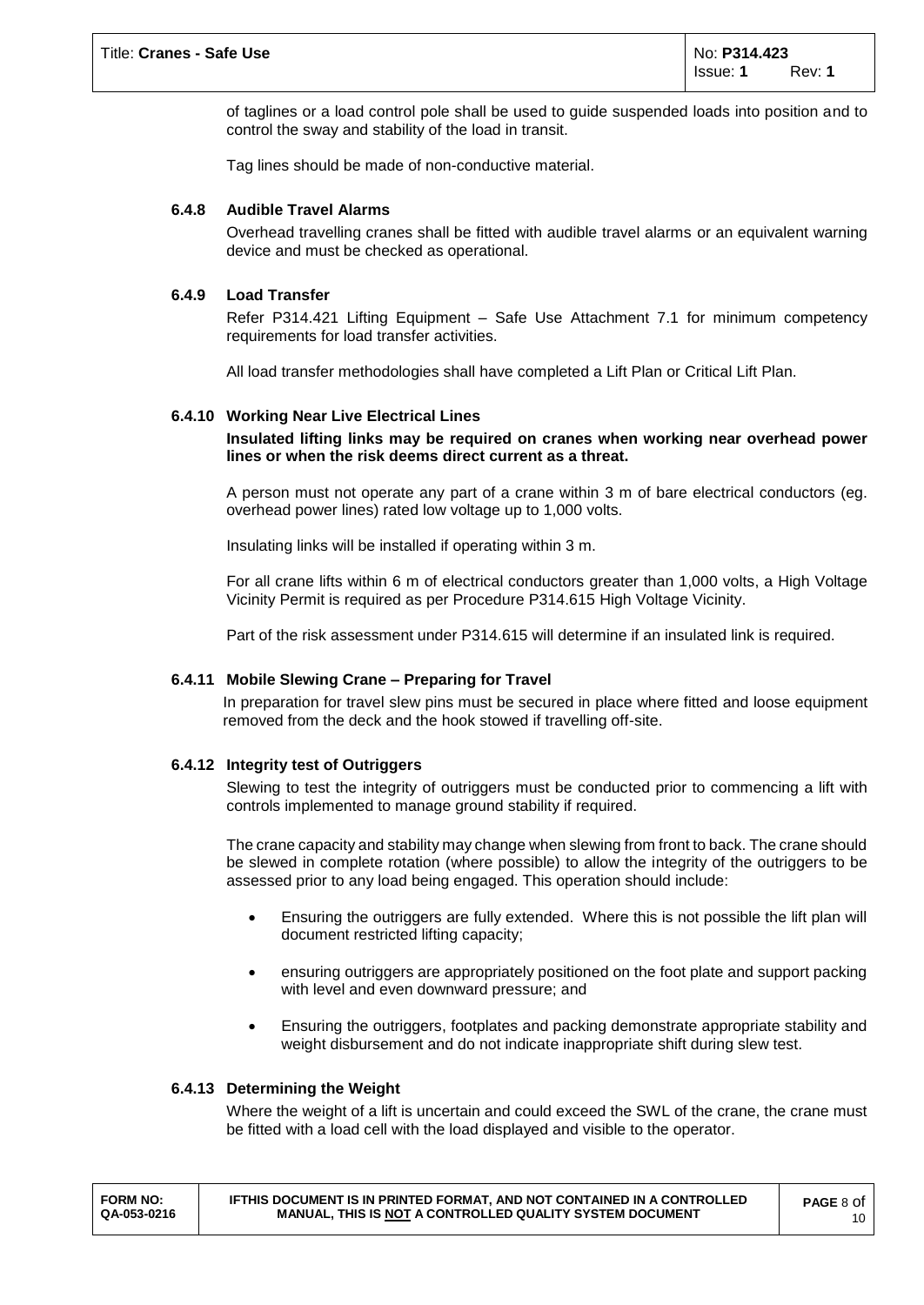of taglines or a load control pole shall be used to guide suspended loads into position and to control the sway and stability of the load in transit.

Tag lines should be made of non-conductive material.

## **6.4.8 Audible Travel Alarms**

Overhead travelling cranes shall be fitted with audible travel alarms or an equivalent warning device and must be checked as operational.

## **6.4.9 Load Transfer**

Refer P314.421 Lifting Equipment – Safe Use Attachment 7.1 for minimum competency requirements for load transfer activities.

All load transfer methodologies shall have completed a Lift Plan or Critical Lift Plan.

## **6.4.10 Working Near Live Electrical Lines**

## **Insulated lifting links may be required on cranes when working near overhead power lines or when the risk deems direct current as a threat.**

A person must not operate any part of a crane within 3 m of bare electrical conductors (eg. overhead power lines) rated low voltage up to 1,000 volts.

Insulating links will be installed if operating within 3 m.

For all crane lifts within 6 m of electrical conductors greater than 1,000 volts, a High Voltage Vicinity Permit is required as per Procedure P314.615 High Voltage Vicinity.

Part of the risk assessment under P314.615 will determine if an insulated link is required.

## **6.4.11 Mobile Slewing Crane – Preparing for Travel**

In preparation for travel slew pins must be secured in place where fitted and loose equipment removed from the deck and the hook stowed if travelling off-site.

## **6.4.12 Integrity test of Outriggers**

Slewing to test the integrity of outriggers must be conducted prior to commencing a lift with controls implemented to manage ground stability if required.

The crane capacity and stability may change when slewing from front to back. The crane should be slewed in complete rotation (where possible) to allow the integrity of the outriggers to be assessed prior to any load being engaged. This operation should include:

- Ensuring the outriggers are fully extended. Where this is not possible the lift plan will document restricted lifting capacity;
- ensuring outriggers are appropriately positioned on the foot plate and support packing with level and even downward pressure; and
- Ensuring the outriggers, footplates and packing demonstrate appropriate stability and weight disbursement and do not indicate inappropriate shift during slew test.

## **6.4.13 Determining the Weight**

Where the weight of a lift is uncertain and could exceed the SWL of the crane, the crane must be fitted with a load cell with the load displayed and visible to the operator.

| <b>FORM NO:</b><br><b>IFTHIS DOCUMENT IS IN PRINTED FORMAT. AND NOT CONTAINED IN A CONTROLLED</b><br>MANUAL. THIS IS NOT A CONTROLLED QUALITY SYSTEM DOCUMENT<br>QA-053-0216 | <b>PAGE 8 Of</b><br>10 |
|------------------------------------------------------------------------------------------------------------------------------------------------------------------------------|------------------------|
|------------------------------------------------------------------------------------------------------------------------------------------------------------------------------|------------------------|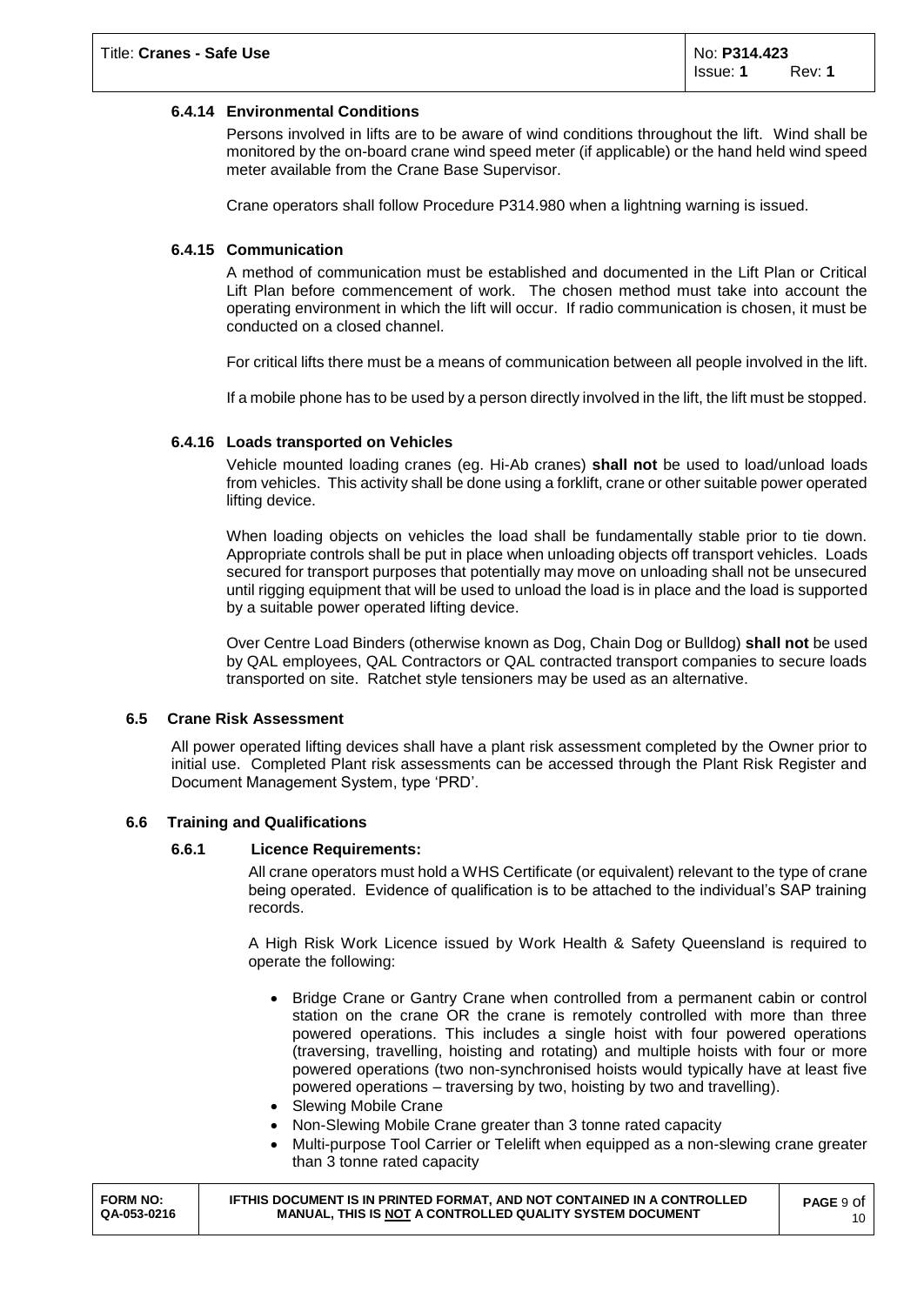## **6.4.14 Environmental Conditions**

Persons involved in lifts are to be aware of wind conditions throughout the lift. Wind shall be monitored by the on-board crane wind speed meter (if applicable) or the hand held wind speed meter available from the Crane Base Supervisor.

Crane operators shall follow Procedure P314.980 when a lightning warning is issued.

## **6.4.15 Communication**

A method of communication must be established and documented in the Lift Plan or Critical Lift Plan before commencement of work. The chosen method must take into account the operating environment in which the lift will occur. If radio communication is chosen, it must be conducted on a closed channel.

For critical lifts there must be a means of communication between all people involved in the lift.

If a mobile phone has to be used by a person directly involved in the lift, the lift must be stopped.

## **6.4.16 Loads transported on Vehicles**

Vehicle mounted loading cranes (eg. Hi-Ab cranes) **shall not** be used to load/unload loads from vehicles. This activity shall be done using a forklift, crane or other suitable power operated lifting device.

When loading objects on vehicles the load shall be fundamentally stable prior to tie down. Appropriate controls shall be put in place when unloading objects off transport vehicles. Loads secured for transport purposes that potentially may move on unloading shall not be unsecured until rigging equipment that will be used to unload the load is in place and the load is supported by a suitable power operated lifting device.

Over Centre Load Binders (otherwise known as Dog, Chain Dog or Bulldog) **shall not** be used by QAL employees, QAL Contractors or QAL contracted transport companies to secure loads transported on site. Ratchet style tensioners may be used as an alternative.

## **6.5 Crane Risk Assessment**

All power operated lifting devices shall have a plant risk assessment completed by the Owner prior to initial use. Completed Plant risk assessments can be accessed through the Plant Risk Register and Document Management System, type 'PRD'.

## **6.6 Training and Qualifications**

## **6.6.1 Licence Requirements:**

All crane operators must hold a WHS Certificate (or equivalent) relevant to the type of crane being operated. Evidence of qualification is to be attached to the individual's SAP training records.

A High Risk Work Licence issued by Work Health & Safety Queensland is required to operate the following:

- Bridge Crane or Gantry Crane when controlled from a permanent cabin or control station on the crane OR the crane is remotely controlled with more than three powered operations. This includes a single hoist with four powered operations (traversing, travelling, hoisting and rotating) and multiple hoists with four or more powered operations (two non-synchronised hoists would typically have at least five powered operations – traversing by two, hoisting by two and travelling).
- Slewing Mobile Crane
- Non-Slewing Mobile Crane greater than 3 tonne rated capacity
- Multi-purpose Tool Carrier or Telelift when equipped as a non-slewing crane greater than 3 tonne rated capacity

**IFTHIS DOCUMENT IS IN PRINTED FORMAT, AND NOT CONTAINED IN A CONTROLLED MANUAL, THIS IS NOT A CONTROLLED QUALITY SYSTEM DOCUMENT**